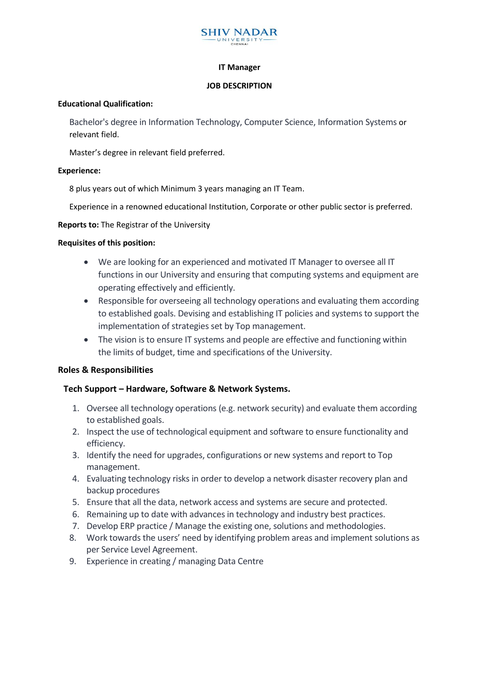

#### **IT Manager**

#### **JOB DESCRIPTION**

#### **Educational Qualification:**

Bachelor's degree in Information Technology, Computer Science, Information Systems or relevant field.

Master's degree in relevant field preferred.

#### **Experience:**

8 plus years out of which Minimum 3 years managing an IT Team.

Experience in a renowned educational Institution, Corporate or other public sector is preferred.

**Reports to:** The Registrar of the University

# **Requisites of this position:**

- We are looking for an experienced and motivated IT Manager to oversee all IT functions in our University and ensuring that computing systems and equipment are operating effectively and efficiently.
- Responsible for overseeing all technology operations and evaluating them according to established goals. Devising and establishing IT policies and systems to support the implementation of strategies set by Top management.
- The vision is to ensure IT systems and people are effective and functioning within the limits of budget, time and specifications of the University.

# **Roles & Responsibilities**

# **Tech Support – Hardware, Software & Network Systems.**

- 1. Oversee all technology operations (e.g. network security) and evaluate them according to established goals.
- 2. Inspect the use of technological equipment and software to ensure functionality and efficiency.
- 3. Identify the need for upgrades, configurations or new systems and report to Top management.
- 4. Evaluating technology risks in order to develop a network disaster recovery plan and backup procedures
- 5. Ensure that all the data, network access and systems are secure and protected.
- 6. Remaining up to date with advances in technology and industry best practices.
- 7. Develop ERP practice / Manage the existing one, solutions and methodologies.
- 8. Work towards the users' need by identifying problem areas and implement solutions as per Service Level Agreement.
- 9. Experience in creating / managing Data Centre